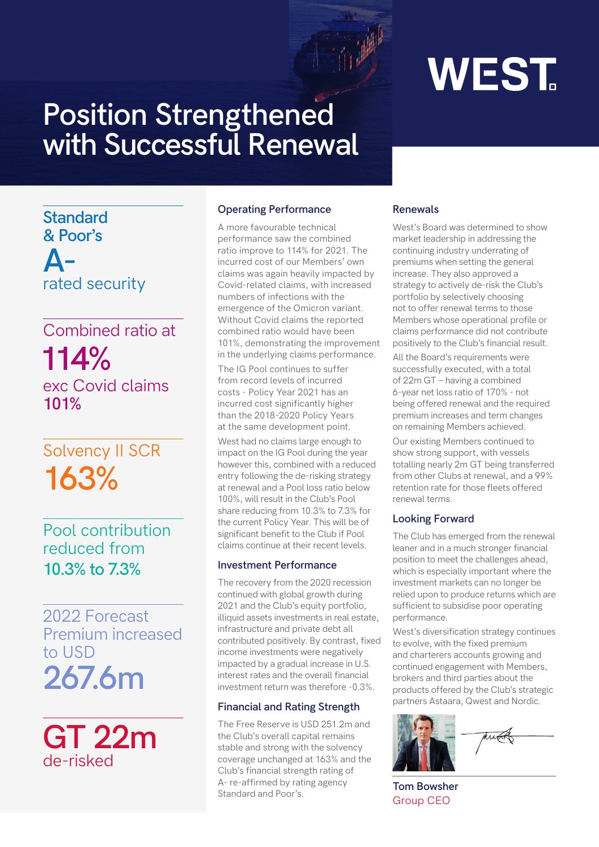# **WEST.**

## **Position Strengthened with Successful Renewal**

**Standard & Poor's**

**A**rated security

### Combined ratio at **114%** exc Covid claims **101%**

## Solvency II SCR **163%**

Pool contribution reduced from **10.3% to 7.3%**

**267.6m** 2022 Forecast Premium increased to USD

**GT 22m** de-risked

#### **Operating Performance**

A more favourable technical performance saw the combined ratio improve to 114% for 2021. The incurred cost of our Members' own claims was again heavily impacted by Covid-related claims, with increased numbers of infections with the emergence of the Omicron variant. Without Covid claims the reported combined ratio would have been 101%, demonstrating the improvement in the underlying claims performance.

The IG Pool continues to suffer from record levels of incurred costs - Policy Year 2021 has an incurred cost significantly higher than the 2018-2020 Policy Years at the same development point.

West had no claims large enough to impact on the IG Pool during the year however this, combined with a reduced entry following the de-risking strategy at renewal and a Pool loss ratio below 100%, will result in the Club's Pool share reducing from 10.3% to 7.3% for the current Policy Year. This will be of significant benefit to the Club if Pool claims continue at their recent levels.

#### **Investment Performance**

The recovery from the 2020 recession continued with global growth during 2021 and the Club's equity portfolio, illiquid assets investments in real estate, infrastructure and private debt all contributed positively. By contrast, fixed income investments were negatively impacted by a gradual increase in U.S. interest rates and the overall financial investment return was therefore -0.3%.

### **Financial and Rating Strength**

The Free Reserve is USD 251.2m and the Club's overall capital remains stable and strong with the solvency coverage unchanged at 163% and the Club's financial strength rating of A- re-affirmed by rating agency Standard and Poor's.

#### **Renewals**

West's Board was determined to show market leadership in addressing the continuing industry underrating of premiums when setting the general increase. They also approved a strategy to actively de-risk the Club's portfolio by selectively choosing not to offer renewal terms to those Members whose operational profile or claims performance did not contribute positively to the Club's financial result.

All the Board's requirements were successfully executed, with a total of 22m GT – having a combined 6-year net loss ratio of 170% - not being offered renewal and the required premium increases and term changes on remaining Members achieved.

Our existing Members continued to show strong support, with vessels totalling nearly 2m GT being transferred from other Clubs at renewal, and a 99% retention rate for those fleets offered renewal terms.

### **Looking Forward**

The Club has emerged from the renewal leaner and in a much stronger financial position to meet the challenges ahead, which is especially important where the investment markets can no longer be relied upon to produce returns which are sufficient to subsidise poor operating performance.

West's diversification strategy continues to evolve, with the fixed premium and charterers accounts growing and continued engagement with Members, brokers and third parties about the products offered by the Club's strategic partners Astaara, Qwest and Nordic.



**Tom Bowsher** Group CEO